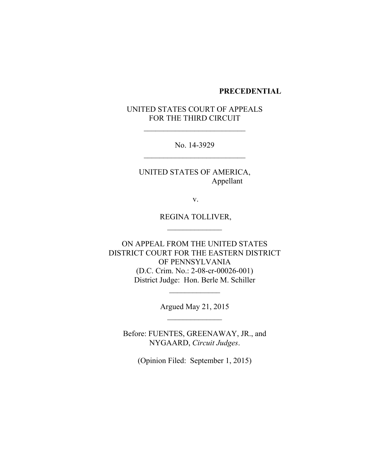#### **PRECEDENTIAL**

# UNITED STATES COURT OF APPEALS FOR THE THIRD CIRCUIT

No. 14-3929

UNITED STATES OF AMERICA, Appellant

v.

REGINA TOLLIVER,

ON APPEAL FROM THE UNITED STATES DISTRICT COURT FOR THE EASTERN DISTRICT OF PENNSYLVANIA (D.C. Crim. No.: 2-08-cr-00026-001) District Judge: Hon. Berle M. Schiller

> Argued May 21, 2015  $\mathcal{L}_\text{max}$  and  $\mathcal{L}_\text{max}$

Before: FUENTES, GREENAWAY, JR., and NYGAARD, *Circuit Judges*.

(Opinion Filed: September 1, 2015)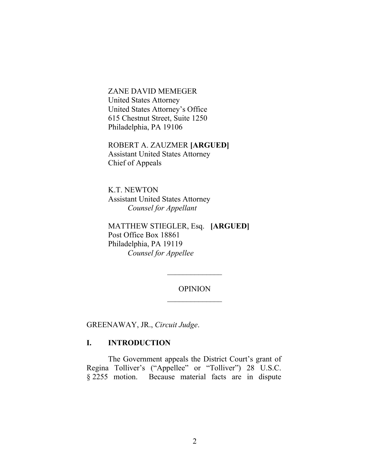ZANE DAVID MEMEGER United States Attorney United States Attorney's Office 615 Chestnut Street, Suite 1250 Philadelphia, PA 19106

ROBERT A. ZAUZMER **[ARGUED]** Assistant United States Attorney Chief of Appeals

K.T. NEWTON Assistant United States Attorney *Counsel for Appellant*

MATTHEW STIEGLER, Esq. **[ARGUED]** Post Office Box 18861 Philadelphia, PA 19119 *Counsel for Appellee*

> OPINION  $\mathcal{L}_\text{max}$  and  $\mathcal{L}_\text{max}$

GREENAWAY, JR., *Circuit Judge*.

### **I. INTRODUCTION**

The Government appeals the District Court's grant of Regina Tolliver's ("Appellee" or "Tolliver") 28 U.S.C. § 2255 motion. Because material facts are in dispute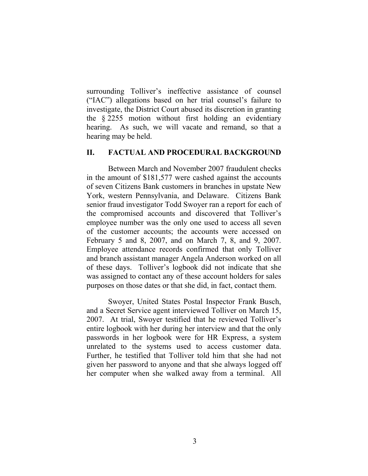surrounding Tolliver's ineffective assistance of counsel ("IAC") allegations based on her trial counsel's failure to investigate, the District Court abused its discretion in granting the § 2255 motion without first holding an evidentiary hearing. As such, we will vacate and remand, so that a hearing may be held.

## **II. FACTUAL AND PROCEDURAL BACKGROUND**

Between March and November 2007 fraudulent checks in the amount of \$181,577 were cashed against the accounts of seven Citizens Bank customers in branches in upstate New York, western Pennsylvania, and Delaware. Citizens Bank senior fraud investigator Todd Swoyer ran a report for each of the compromised accounts and discovered that Tolliver's employee number was the only one used to access all seven of the customer accounts; the accounts were accessed on February 5 and 8, 2007, and on March 7, 8, and 9, 2007. Employee attendance records confirmed that only Tolliver and branch assistant manager Angela Anderson worked on all of these days. Tolliver's logbook did not indicate that she was assigned to contact any of these account holders for sales purposes on those dates or that she did, in fact, contact them.

Swoyer, United States Postal Inspector Frank Busch, and a Secret Service agent interviewed Tolliver on March 15, 2007. At trial, Swoyer testified that he reviewed Tolliver's entire logbook with her during her interview and that the only passwords in her logbook were for HR Express, a system unrelated to the systems used to access customer data. Further, he testified that Tolliver told him that she had not given her password to anyone and that she always logged off her computer when she walked away from a terminal. All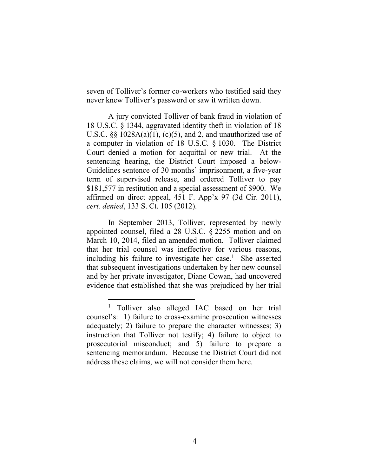seven of Tolliver's former co-workers who testified said they never knew Tolliver's password or saw it written down.

A jury convicted Tolliver of bank fraud in violation of 18 U.S.C. § 1344, aggravated identity theft in violation of 18 U.S.C.  $\S$ § 1028A(a)(1), (c)(5), and 2, and unauthorized use of a computer in violation of 18 U.S.C. § 1030. The District Court denied a motion for acquittal or new trial. At the sentencing hearing, the District Court imposed a below-Guidelines sentence of 30 months' imprisonment, a five-year term of supervised release, and ordered Tolliver to pay \$181,577 in restitution and a special assessment of \$900. We affirmed on direct appeal, 451 F. App'x 97 (3d Cir. 2011), *cert. denied*, 133 S. Ct. 105 (2012).

In September 2013, Tolliver, represented by newly appointed counsel, filed a 28 U.S.C. § 2255 motion and on March 10, 2014, filed an amended motion. Tolliver claimed that her trial counsel was ineffective for various reasons, including his failure to investigate her case.<sup>1</sup> She asserted that subsequent investigations undertaken by her new counsel and by her private investigator, Diane Cowan, had uncovered evidence that established that she was prejudiced by her trial

<sup>&</sup>lt;sup>1</sup> Tolliver also alleged IAC based on her trial counsel's: 1) failure to cross-examine prosecution witnesses adequately; 2) failure to prepare the character witnesses; 3) instruction that Tolliver not testify; 4) failure to object to prosecutorial misconduct; and 5) failure to prepare a sentencing memorandum. Because the District Court did not address these claims, we will not consider them here.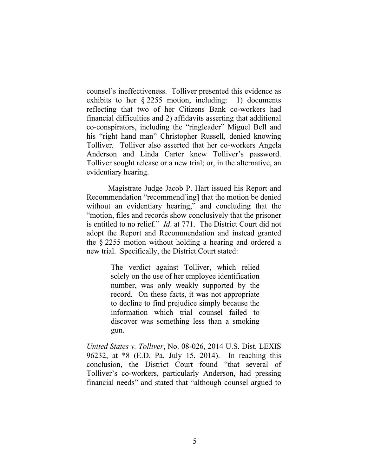counsel's ineffectiveness. Tolliver presented this evidence as exhibits to her § 2255 motion, including: 1) documents reflecting that two of her Citizens Bank co-workers had financial difficulties and 2) affidavits asserting that additional co-conspirators, including the "ringleader" Miguel Bell and his "right hand man" Christopher Russell, denied knowing Tolliver. Tolliver also asserted that her co-workers Angela Anderson and Linda Carter knew Tolliver's password. Tolliver sought release or a new trial; or, in the alternative, an evidentiary hearing.

Magistrate Judge Jacob P. Hart issued his Report and Recommendation "recommend[ing] that the motion be denied without an evidentiary hearing," and concluding that the "motion, files and records show conclusively that the prisoner is entitled to no relief." *Id*. at 771. The District Court did not adopt the Report and Recommendation and instead granted the § 2255 motion without holding a hearing and ordered a new trial. Specifically, the District Court stated:

> The verdict against Tolliver, which relied solely on the use of her employee identification number, was only weakly supported by the record. On these facts, it was not appropriate to decline to find prejudice simply because the information which trial counsel failed to discover was something less than a smoking gun.

*United States v. Tolliver*, No. 08-026, 2014 U.S. Dist. LEXIS 96232, at \*8 (E.D. Pa. July 15, 2014). In reaching this conclusion, the District Court found "that several of Tolliver's co-workers, particularly Anderson, had pressing financial needs" and stated that "although counsel argued to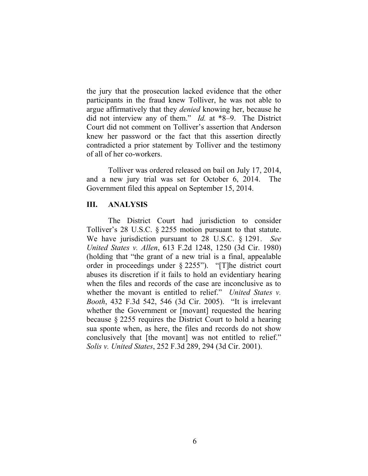the jury that the prosecution lacked evidence that the other participants in the fraud knew Tolliver, he was not able to argue affirmatively that they *denied* knowing her, because he did not interview any of them." *Id.* at \*8–9. The District Court did not comment on Tolliver's assertion that Anderson knew her password or the fact that this assertion directly contradicted a prior statement by Tolliver and the testimony of all of her co-workers.

Tolliver was ordered released on bail on July 17, 2014, and a new jury trial was set for October 6, 2014. The Government filed this appeal on September 15, 2014.

### **III. ANALYSIS**

The District Court had jurisdiction to consider Tolliver's 28 U.S.C. § 2255 motion pursuant to that statute. We have jurisdiction pursuant to 28 U.S.C. § 1291. *See United States v. Allen*, 613 F.2d 1248, 1250 (3d Cir. 1980) (holding that "the grant of a new trial is a final, appealable order in proceedings under § 2255"). "[T]he district court abuses its discretion if it fails to hold an evidentiary hearing when the files and records of the case are inconclusive as to whether the movant is entitled to relief." *United States v. Booth*, 432 F.3d 542, 546 (3d Cir. 2005). "It is irrelevant whether the Government or [movant] requested the hearing because § 2255 requires the District Court to hold a hearing sua sponte when, as here, the files and records do not show conclusively that [the movant] was not entitled to relief." *Solis v. United States*, 252 F.3d 289, 294 (3d Cir. 2001).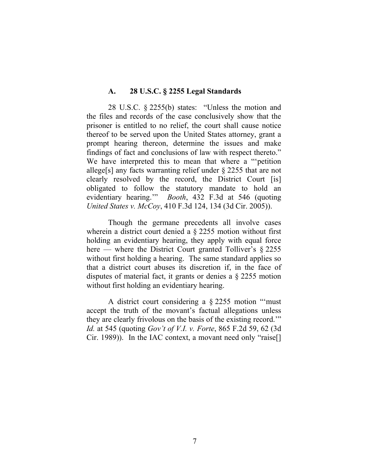#### **A. 28 U.S.C. § 2255 Legal Standards**

28 U.S.C. § 2255(b) states: "Unless the motion and the files and records of the case conclusively show that the prisoner is entitled to no relief, the court shall cause notice thereof to be served upon the United States attorney, grant a prompt hearing thereon, determine the issues and make findings of fact and conclusions of law with respect thereto." We have interpreted this to mean that where a ""petition" allege[s] any facts warranting relief under § 2255 that are not clearly resolved by the record, the District Court [is] obligated to follow the statutory mandate to hold an evidentiary hearing.'" *Booth*, 432 F.3d at 546 (quoting *United States v. McCoy*, 410 F.3d 124, 134 (3d Cir. 2005)).

Though the germane precedents all involve cases wherein a district court denied a § 2255 motion without first holding an evidentiary hearing, they apply with equal force here — where the District Court granted Tolliver's  $\S 2255$ without first holding a hearing. The same standard applies so that a district court abuses its discretion if, in the face of disputes of material fact, it grants or denies a § 2255 motion without first holding an evidentiary hearing.

A district court considering a § 2255 motion "'must accept the truth of the movant's factual allegations unless they are clearly frivolous on the basis of the existing record.'" *Id.* at 545 (quoting *Gov't of V.I. v. Forte*, 865 F.2d 59, 62 (3d Cir. 1989)). In the IAC context, a movant need only "raise[]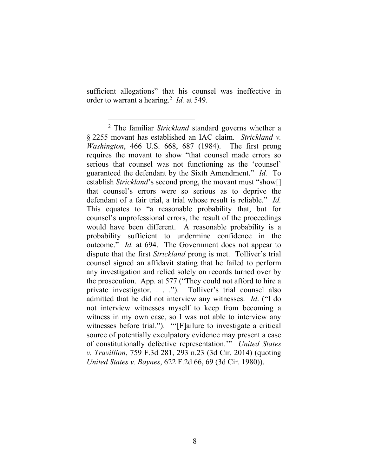sufficient allegations" that his counsel was ineffective in order to warrant a hearing.<sup>2</sup> *Id.* at 549.

 $\overline{a}$ 

<sup>2</sup> The familiar *Strickland* standard governs whether a § 2255 movant has established an IAC claim. *Strickland v. Washington*, 466 U.S. 668, 687 (1984). The first prong requires the movant to show "that counsel made errors so serious that counsel was not functioning as the 'counsel' guaranteed the defendant by the Sixth Amendment." *Id.* To establish *Strickland*'s second prong, the movant must "show[] that counsel's errors were so serious as to deprive the defendant of a fair trial, a trial whose result is reliable." *Id.* This equates to "a reasonable probability that, but for counsel's unprofessional errors, the result of the proceedings would have been different. A reasonable probability is a probability sufficient to undermine confidence in the outcome." *Id.* at 694. The Government does not appear to dispute that the first *Strickland* prong is met. Tolliver's trial counsel signed an affidavit stating that he failed to perform any investigation and relied solely on records turned over by the prosecution. App. at 577 ("They could not afford to hire a private investigator. . . ."). Tolliver's trial counsel also admitted that he did not interview any witnesses. *Id*. ("I do not interview witnesses myself to keep from becoming a witness in my own case, so I was not able to interview any witnesses before trial."). "'[F]ailure to investigate a critical source of potentially exculpatory evidence may present a case of constitutionally defective representation.'" *United States v. Travillion*, 759 F.3d 281, 293 n.23 (3d Cir. 2014) (quoting *United States v. Baynes*, 622 F.2d 66, 69 (3d Cir. 1980)).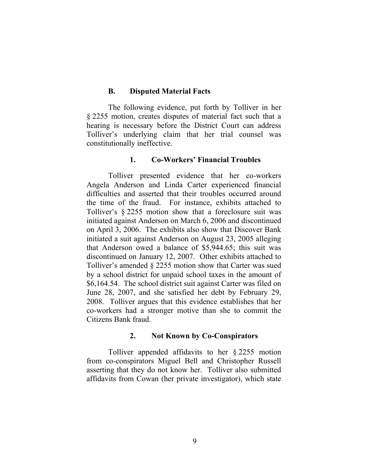### **B. Disputed Material Facts**

The following evidence, put forth by Tolliver in her § 2255 motion, creates disputes of material fact such that a hearing is necessary before the District Court can address Tolliver's underlying claim that her trial counsel was constitutionally ineffective.

## **1. Co-Workers' Financial Troubles**

Tolliver presented evidence that her co-workers Angela Anderson and Linda Carter experienced financial difficulties and asserted that their troubles occurred around the time of the fraud. For instance, exhibits attached to Tolliver's § 2255 motion show that a foreclosure suit was initiated against Anderson on March 6, 2006 and discontinued on April 3, 2006. The exhibits also show that Discover Bank initiated a suit against Anderson on August 23, 2005 alleging that Anderson owed a balance of \$5,944.65; this suit was discontinued on January 12, 2007. Other exhibits attached to Tolliver's amended § 2255 motion show that Carter was sued by a school district for unpaid school taxes in the amount of \$6,164.54. The school district suit against Carter was filed on June 28, 2007, and she satisfied her debt by February 29, 2008. Tolliver argues that this evidence establishes that her co-workers had a stronger motive than she to commit the Citizens Bank fraud.

## **2. Not Known by Co-Conspirators**

Tolliver appended affidavits to her § 2255 motion from co-conspirators Miguel Bell and Christopher Russell asserting that they do not know her. Tolliver also submitted affidavits from Cowan (her private investigator), which state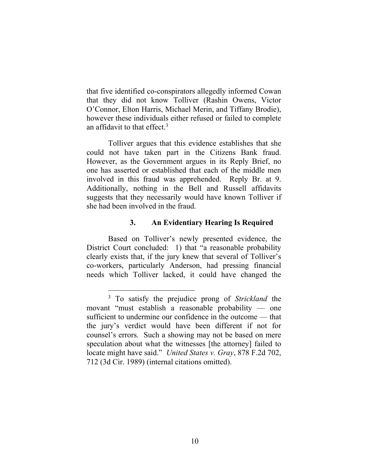that five identified co-conspirators allegedly informed Cowan that they did not know Tolliver (Rashin Owens, Victor O'Connor, Elton Harris, Michael Merin, and Tiffany Brodie), however these individuals either refused or failed to complete an affidavit to that effect.<sup>3</sup>

Tolliver argues that this evidence establishes that she could not have taken part in the Citizens Bank fraud. However, as the Government argues in its Reply Brief, no one has asserted or established that each of the middle men involved in this fraud was apprehended. Reply Br. at 9. Additionally, nothing in the Bell and Russell affidavits suggests that they necessarily would have known Tolliver if she had been involved in the fraud.

# **3. An Evidentiary Hearing Is Required**

Based on Tolliver's newly presented evidence, the District Court concluded: 1) that "a reasonable probability clearly exists that, if the jury knew that several of Tolliver's co-workers, particularly Anderson, had pressing financial needs which Tolliver lacked, it could have changed the

<sup>3</sup> To satisfy the prejudice prong of *Strickland* the movant "must establish a reasonable probability — one sufficient to undermine our confidence in the outcome — that the jury's verdict would have been different if not for counsel's errors. Such a showing may not be based on mere speculation about what the witnesses [the attorney] failed to locate might have said." *United States v. Gray*, 878 F.2d 702, 712 (3d Cir. 1989) (internal citations omitted).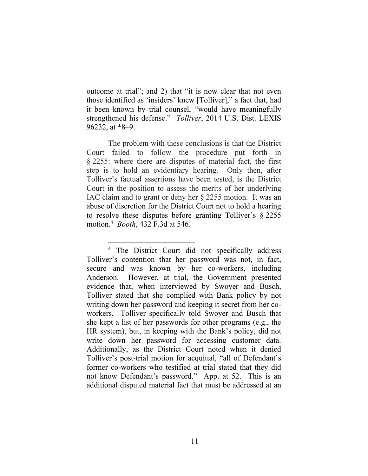outcome at trial"; and 2) that "it is now clear that not even those identified as 'insiders' knew [Tolliver]," a fact that, had it been known by trial counsel, "would have meaningfully strengthened his defense." *Tolliver*, 2014 U.S. Dist. LEXIS 96232, at \*8–9.

The problem with these conclusions is that the District Court failed to follow the procedure put forth in § 2255: where there are disputes of material fact, the first step is to hold an evidentiary hearing. Only then, after Tolliver's factual assertions have been tested, is the District Court in the position to assess the merits of her underlying IAC claim and to grant or deny her § 2255 motion. It was an abuse of discretion for the District Court not to hold a hearing to resolve these disputes before granting Tolliver's § 2255 motion.<sup>4</sup> *Booth*, 432 F.3d at 546.

<sup>4</sup> The District Court did not specifically address Tolliver's contention that her password was not, in fact, secure and was known by her co-workers, including Anderson. However, at trial, the Government presented evidence that, when interviewed by Swoyer and Busch, Tolliver stated that she complied with Bank policy by not writing down her password and keeping it secret from her coworkers. Tolliver specifically told Swoyer and Busch that she kept a list of her passwords for other programs (e.g., the HR system), but, in keeping with the Bank's policy, did not write down her password for accessing customer data. Additionally, as the District Court noted when it denied Tolliver's post-trial motion for acquittal, "all of Defendant's former co-workers who testified at trial stated that they did not know Defendant's password." App. at 52. This is an additional disputed material fact that must be addressed at an